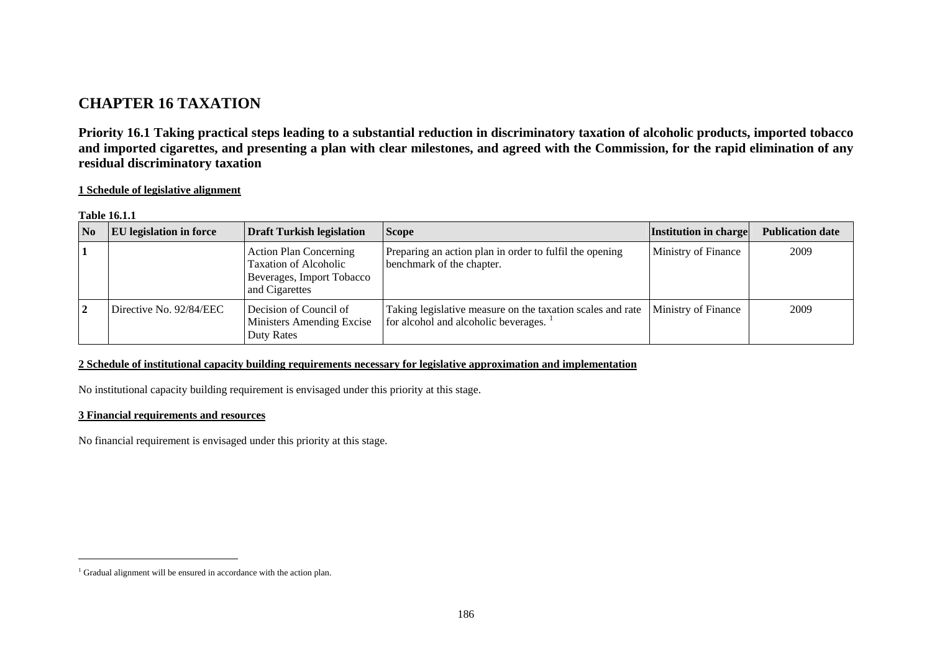# **CHAPTER 16 TAXATION**

**Priority 16.1 Taking practical steps leading to a substantial reduction in discriminatory taxation of alcoholic products, imported tobacco and imported cigarettes, and presenting a plan with clear milestones, and agreed with the Commission, for the rapid elimination of any residual discriminatory taxation** 

**1 Schedule of legislative alignment**

#### **Table 16.1.1**

| $\overline{N_0}$ | <b>EU</b> legislation in force | Draft Turkish legislation                                                                             | <b>Scope</b>                                                                                       | <b>Institution in charge</b> | <b>Publication date</b> |
|------------------|--------------------------------|-------------------------------------------------------------------------------------------------------|----------------------------------------------------------------------------------------------------|------------------------------|-------------------------|
|                  |                                | <b>Action Plan Concerning</b><br>Taxation of Alcoholic<br>Beverages, Import Tobacco<br>and Cigarettes | Preparing an action plan in order to fulfil the opening<br>benchmark of the chapter.               | Ministry of Finance          | 2009                    |
|                  | Directive No. 92/84/EEC        | Decision of Council of<br>Ministers Amending Excise<br>Duty Rates                                     | Taking legislative measure on the taxation scales and rate<br>for alcohol and alcoholic beverages. | Ministry of Finance          | 2009                    |

### **2 Schedule of institutional capacity building requirements necessary for legislative approximation and implementation**

No institutional capacity building requirement is envisaged under this priority at this stage.

### **3 Financial requirements and resources**

No financial requirement is envisaged under this priority at this stage.

<span id="page-0-0"></span><sup>&</sup>lt;sup>1</sup> Gradual alignment will be ensured in accordance with the action plan.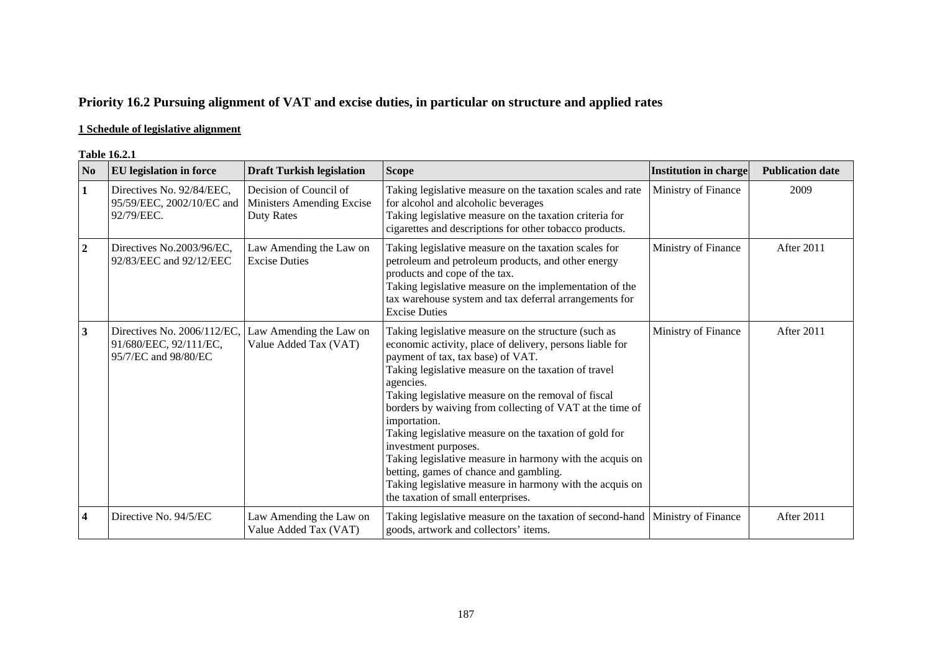## **Priority 16.2 Pursuing alignment of VAT and excise duties, in particular on structure and applied rates**

### **1 Schedule of legislative alignment**

#### **Table 16.2.1**

| No                      | <b>EU</b> legislation in force                                                | <b>Draft Turkish legislation</b>                                  | <b>Scope</b>                                                                                                                                                                                                                                                                                                                                                                                                                                                                                                                                                                                                                                            | <b>Institution in charge</b> | <b>Publication date</b> |
|-------------------------|-------------------------------------------------------------------------------|-------------------------------------------------------------------|---------------------------------------------------------------------------------------------------------------------------------------------------------------------------------------------------------------------------------------------------------------------------------------------------------------------------------------------------------------------------------------------------------------------------------------------------------------------------------------------------------------------------------------------------------------------------------------------------------------------------------------------------------|------------------------------|-------------------------|
| $\mathbf{1}$            | Directives No. 92/84/EEC,<br>95/59/EEC, 2002/10/EC and<br>92/79/EEC.          | Decision of Council of<br>Ministers Amending Excise<br>Duty Rates | Taking legislative measure on the taxation scales and rate<br>for alcohol and alcoholic beverages<br>Taking legislative measure on the taxation criteria for<br>cigarettes and descriptions for other tobacco products.                                                                                                                                                                                                                                                                                                                                                                                                                                 | Ministry of Finance          | 2009                    |
| $\overline{2}$          | Directives No.2003/96/EC,<br>92/83/EEC and 92/12/EEC                          | Law Amending the Law on<br><b>Excise Duties</b>                   | Taking legislative measure on the taxation scales for<br>petroleum and petroleum products, and other energy<br>products and cope of the tax.<br>Taking legislative measure on the implementation of the<br>tax warehouse system and tax deferral arrangements for<br><b>Excise Duties</b>                                                                                                                                                                                                                                                                                                                                                               | Ministry of Finance          | After 2011              |
| $\mathbf{3}$            | Directives No. 2006/112/EC,<br>91/680/EEC, 92/111/EC,<br>95/7/EC and 98/80/EC | Law Amending the Law on<br>Value Added Tax (VAT)                  | Taking legislative measure on the structure (such as<br>economic activity, place of delivery, persons liable for<br>payment of tax, tax base) of VAT.<br>Taking legislative measure on the taxation of travel<br>agencies.<br>Taking legislative measure on the removal of fiscal<br>borders by waiving from collecting of VAT at the time of<br>importation.<br>Taking legislative measure on the taxation of gold for<br>investment purposes.<br>Taking legislative measure in harmony with the acquis on<br>betting, games of chance and gambling.<br>Taking legislative measure in harmony with the acquis on<br>the taxation of small enterprises. | Ministry of Finance          | After 2011              |
| $\overline{\mathbf{4}}$ | Directive No. 94/5/EC                                                         | Law Amending the Law on<br>Value Added Tax (VAT)                  | Taking legislative measure on the taxation of second-hand<br>goods, artwork and collectors' items.                                                                                                                                                                                                                                                                                                                                                                                                                                                                                                                                                      | Ministry of Finance          | After 2011              |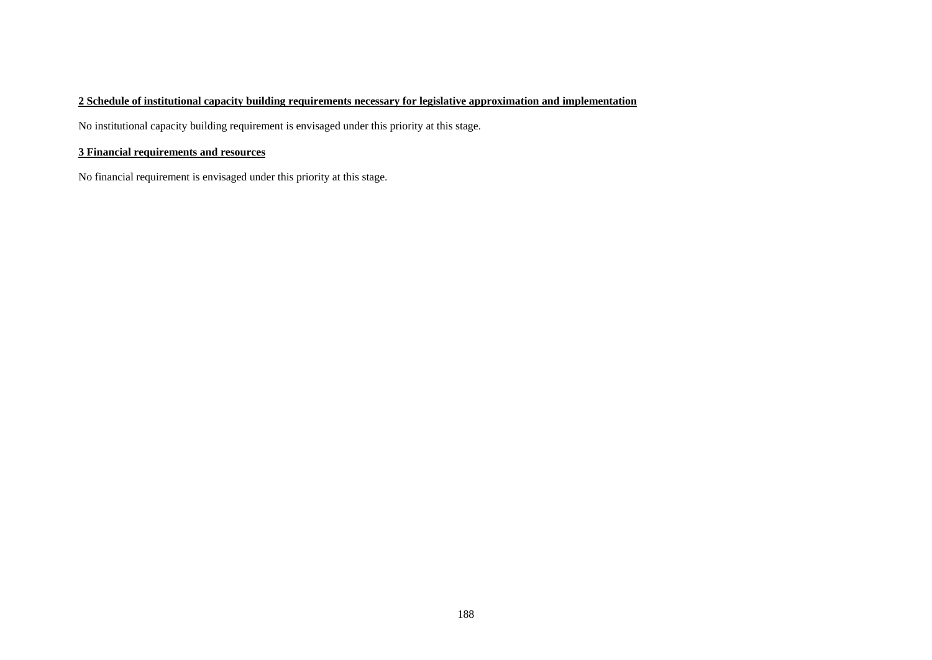### **2 Schedule of institutional capacity building requirements necessary for legislative approximation and implementation**

No institutional capacity building requirement is envisaged under this priority at this stage.

### **3 Financial requirements and resources**

No financial requirement is envisaged under this priority at this stage.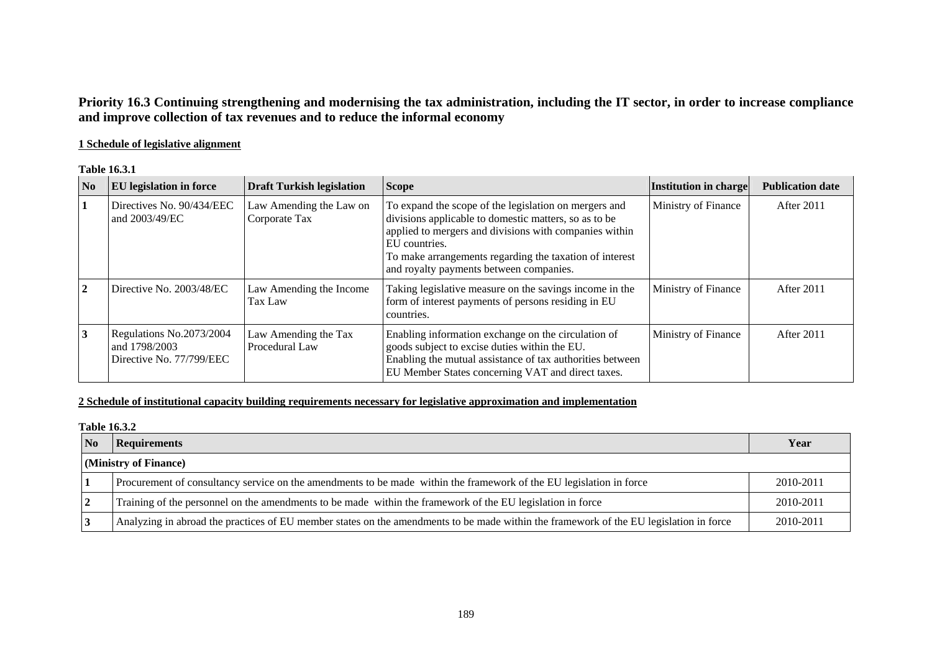## **Priority 16.3 Continuing strengthening and modernising the tax administration, including the IT sector, in order to increase compliance and improve collection of tax revenues and to reduce the informal economy**

### **1 Schedule of legislative alignment**

**Table 16.3.1** 

| $\overline{\text{No}}$ | <b>EU</b> legislation in force                                        | <b>Draft Turkish legislation</b>         | <b>Scope</b>                                                                                                                                                                                                                                                                                    | Institution in charge | <b>Publication date</b> |
|------------------------|-----------------------------------------------------------------------|------------------------------------------|-------------------------------------------------------------------------------------------------------------------------------------------------------------------------------------------------------------------------------------------------------------------------------------------------|-----------------------|-------------------------|
|                        | Directives No. 90/434/EEC<br>and 2003/49/EC                           | Law Amending the Law on<br>Corporate Tax | To expand the scope of the legislation on mergers and<br>divisions applicable to domestic matters, so as to be<br>applied to mergers and divisions with companies within<br>EU countries.<br>To make arrangements regarding the taxation of interest<br>and royalty payments between companies. | Ministry of Finance   | After 2011              |
|                        | Directive No. 2003/48/EC                                              | Law Amending the Income<br>Tax Law       | Taking legislative measure on the savings income in the<br>form of interest payments of persons residing in EU<br>countries.                                                                                                                                                                    | Ministry of Finance   | After 2011              |
|                        | Regulations No.2073/2004<br>and 1798/2003<br>Directive No. 77/799/EEC | Law Amending the Tax<br>Procedural Law   | Enabling information exchange on the circulation of<br>goods subject to excise duties within the EU.<br>Enabling the mutual assistance of tax authorities between<br>EU Member States concerning VAT and direct taxes.                                                                          | Ministry of Finance   | After 2011              |

### **2 Schedule of institutional capacity building requirements necessary for legislative approximation and implementation**

| Table 16.3.2          |                                                                                                                                        |           |  |  |  |
|-----------------------|----------------------------------------------------------------------------------------------------------------------------------------|-----------|--|--|--|
| N <sub>0</sub>        | <b>Requirements</b>                                                                                                                    | Year      |  |  |  |
| (Ministry of Finance) |                                                                                                                                        |           |  |  |  |
|                       | Procurement of consultancy service on the amendments to be made within the framework of the EU legislation in force                    | 2010-2011 |  |  |  |
|                       | Training of the personnel on the amendments to be made within the framework of the EU legislation in force                             | 2010-2011 |  |  |  |
|                       | Analyzing in abroad the practices of EU member states on the amendments to be made within the framework of the EU legislation in force | 2010-2011 |  |  |  |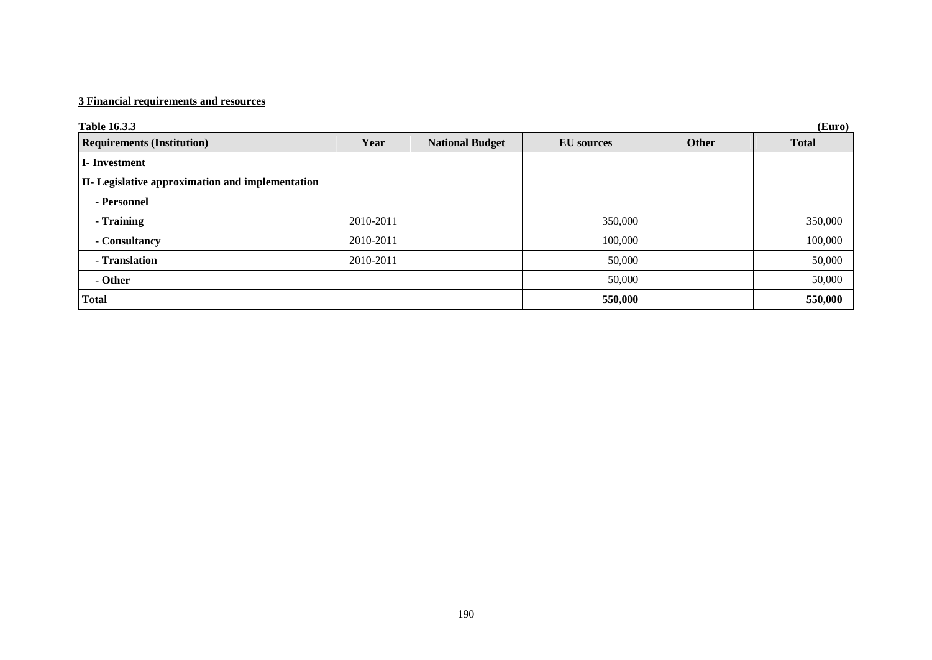### **3 Financial requirements and resources**

| Table 16.3.3<br>(Euro)                           |           |                        |                   |       |              |
|--------------------------------------------------|-----------|------------------------|-------------------|-------|--------------|
| <b>Requirements (Institution)</b>                | Year      | <b>National Budget</b> | <b>EU</b> sources | Other | <b>Total</b> |
| <b>I</b> -Investment                             |           |                        |                   |       |              |
| II- Legislative approximation and implementation |           |                        |                   |       |              |
| - Personnel                                      |           |                        |                   |       |              |
| - Training                                       | 2010-2011 |                        | 350,000           |       | 350,000      |
| - Consultancy                                    | 2010-2011 |                        | 100,000           |       | 100,000      |
| - Translation                                    | 2010-2011 |                        | 50,000            |       | 50,000       |
| - Other                                          |           |                        | 50,000            |       | 50,000       |
| <b>Total</b>                                     |           |                        | 550,000           |       | 550,000      |